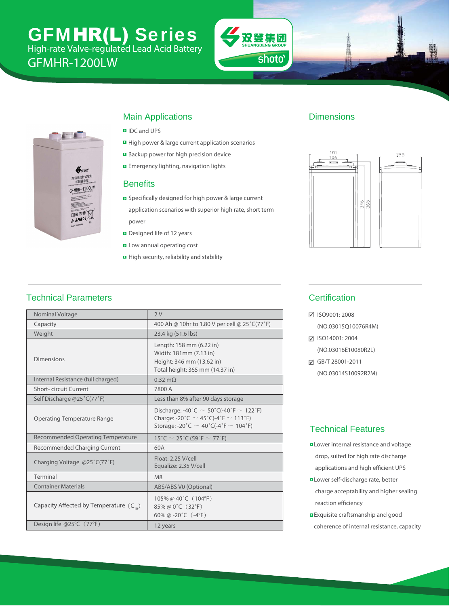# GFMHR-LW Series High-rate Valve-regulated Lead Acid Battery

GFMHR-1250W





### Main Applications

- **D** IDC and UPS
- **E** High power & large current application scenarios
- Backup power for high precision device
- **E** Emergency lighting, navigation lights

#### **Benefits**

- **B** Specifically designed for high power & large current application scenarios with superior high rate, short term power
- Designed life of 12 years
- **E** Low annual operating cost
- $\blacksquare$  High security, reliability and stability

#### **Dimensions**



### Technical Parameters

| Nominal Voltage                             | 2V                                                                                                                                                |
|---------------------------------------------|---------------------------------------------------------------------------------------------------------------------------------------------------|
| Capacity                                    | 430 Ah @ 10hr to 1.80 V per cell @ 25°C(77°F)                                                                                                     |
| Weight                                      | 23.4 kg (51.6 lbs)                                                                                                                                |
| <b>Dimensions</b>                           | Length: 158 mm (6.22 in)<br>Width: 181mm (7.13 in)<br>Height: 346 mm (13.62 in)<br>Total height: 365 mm (14.37 in)                                |
| Internal Resistance (full charged)          | $0.36$ m $\Omega$                                                                                                                                 |
| <b>Short-circuit Current</b>                | 7700 A                                                                                                                                            |
| Self Discharge @25°C(77°F)                  | Less than 8% after 90 days storage                                                                                                                |
| <b>Operating Temperature Range</b>          | Discharge: -40°C $\sim$ 50°C(-40°F $\sim$ 122°F)<br>Charge: -20°C $\sim$ 45°C(-4°F $\sim$ 113°F)<br>Storage: -20°C $\sim$ 40°C(-4°F $\sim$ 104°F) |
| <b>Recommended Operating Temperature</b>    | $15^{\circ}$ C ~ 25 $^{\circ}$ C (59 $^{\circ}$ F ~ 77 $^{\circ}$ F)                                                                              |
| Recommended Charging Current                | 65A                                                                                                                                               |
| Charging Voltage @25°C(77°F)                | Float: 2.25 V/cell<br>Equalize: 2.35 V/cell                                                                                                       |
| Terminal                                    | M <sub>8</sub>                                                                                                                                    |
| <b>Container Materials</b>                  | ABS/ABS V0 (Optional)                                                                                                                             |
| Capacity Affected by Temperature $(C_{10})$ | 105% @ 40 $^{\circ}$ C (104 $^{\circ}$ F)<br>85% @ 0°C (32°F)<br>60% @ -20 $^{\circ}$ C (-4 $^{\circ}$ F)                                         |
| Design life @25°C (77°F)                    | 12 years                                                                                                                                          |

### **Certification**

ISO9001: 2008

(NO.03015Q10076R4M)

**Ø ISO14001: 2004** (NO.03016E10080R2L)

GB/T 28001-2011

(NO.03014S10092R2M)

#### Technical Features

- **D** Lower internal resistance and voltage drop, suited for high rate discharge applications and high efficient UPS
- **ELower self-discharge rate, better**  charge acceptability and higher sealing reaction efficiency
- **Exquisite craftsmanship and good** coherence of internal resistance, capacity